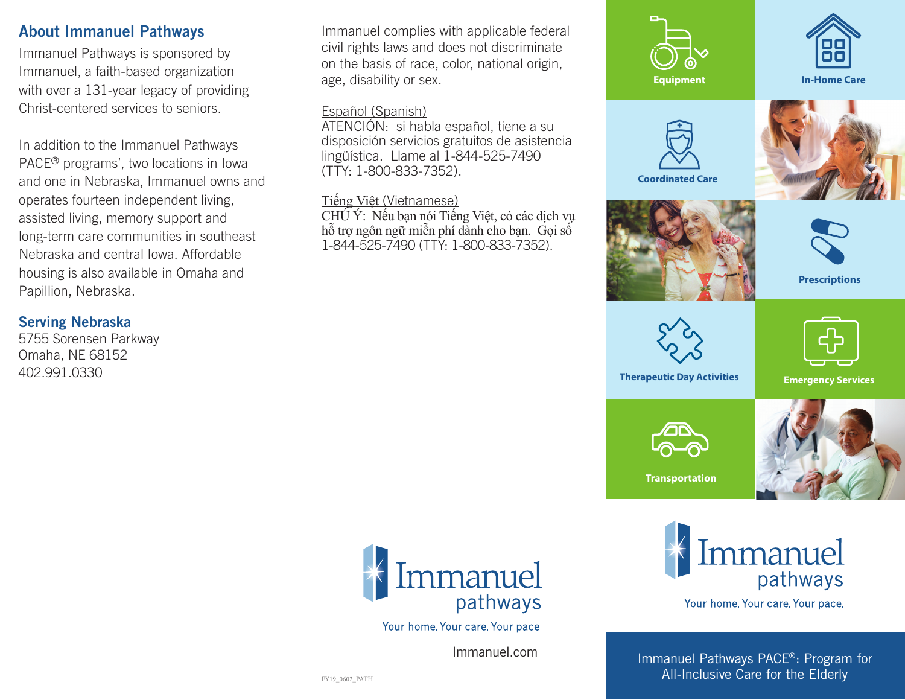#### About Immanuel Pathways

Immanuel Pathways is sponsored by Immanuel, a faith-based organization with over a 131-year legacy of providing Christ-centered services to seniors.

In addition to the Immanuel Pathways PACE® programs', two locations in Iowa and one in Nebraska, Immanuel owns and operates fourteen independent living, assisted living, memory support and long-term care communities in southeast Nebraska and central Iowa. Affordable housing is also available in Omaha and Papillion, Nebraska.

#### Serving Nebraska

5755 Sorensen Parkway Omaha, NE 68152 402.991.0330

Immanuel complies with applicable federal civil rights laws and does not discriminate on the basis of race, color, national origin, age, disability or sex.

#### Español (Spanish)

ATENCIÓN: si habla español, tiene a su disposición servicios gratuitos de asistencia lingüística. Llame al 1-844-525-7490 (TTY: 1-800-833-7352).

#### Tiếng Việt (Vietnamese)

CHÚ Ý: Nếu bạn nói Tiếng Việt, có các dịch vụ hỗ trợ ngôn ngữ miễn phí dành cho bạn. Gọi số 1-844-525-7490 (TTY: 1-800-833-7352).





Your home. Your care. Your pace.

Immanuel.com Immanuel.com

Immanuel Pathways PACE®: Program for All-Inclusive Care for the Elderly

Immanuel

Your home. Your care. Your pace.

pathways